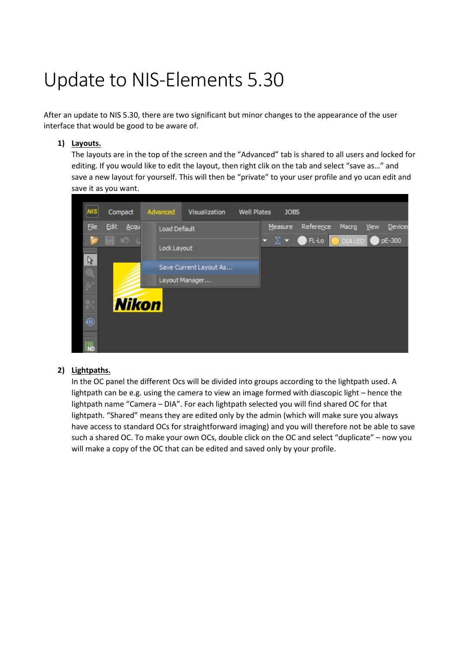## Update to NIS-Elements 5.30

After an update to NIS 5.30, there are two significant but minor changes to the appearance of the user interface that would be good to be aware of.

## **1) Layouts.**

The layouts are in the top of the screen and the "Advanced" tab is shared to all users and locked for editing. If you would like to edit the layout, then right clik on the tab and select "save as…" and save a new layout for yourself. This will then be "private" to your user profile and yo ucan edit and save it as you want.



## **2) Lightpaths.**

In the OC panel the different Ocs will be divided into groups according to the lightpath used. A lightpath can be e.g. using the camera to view an image formed with diascopic light – hence the lightpath name "Camera – DIA". For each lightpath selected you will find shared OC for that lightpath. "Shared" means they are edited only by the admin (which will make sure you always have access to standard OCs for straightforward imaging) and you will therefore not be able to save such a shared OC. To make your own OCs, double click on the OC and select "duplicate" – now you will make a copy of the OC that can be edited and saved only by your profile.